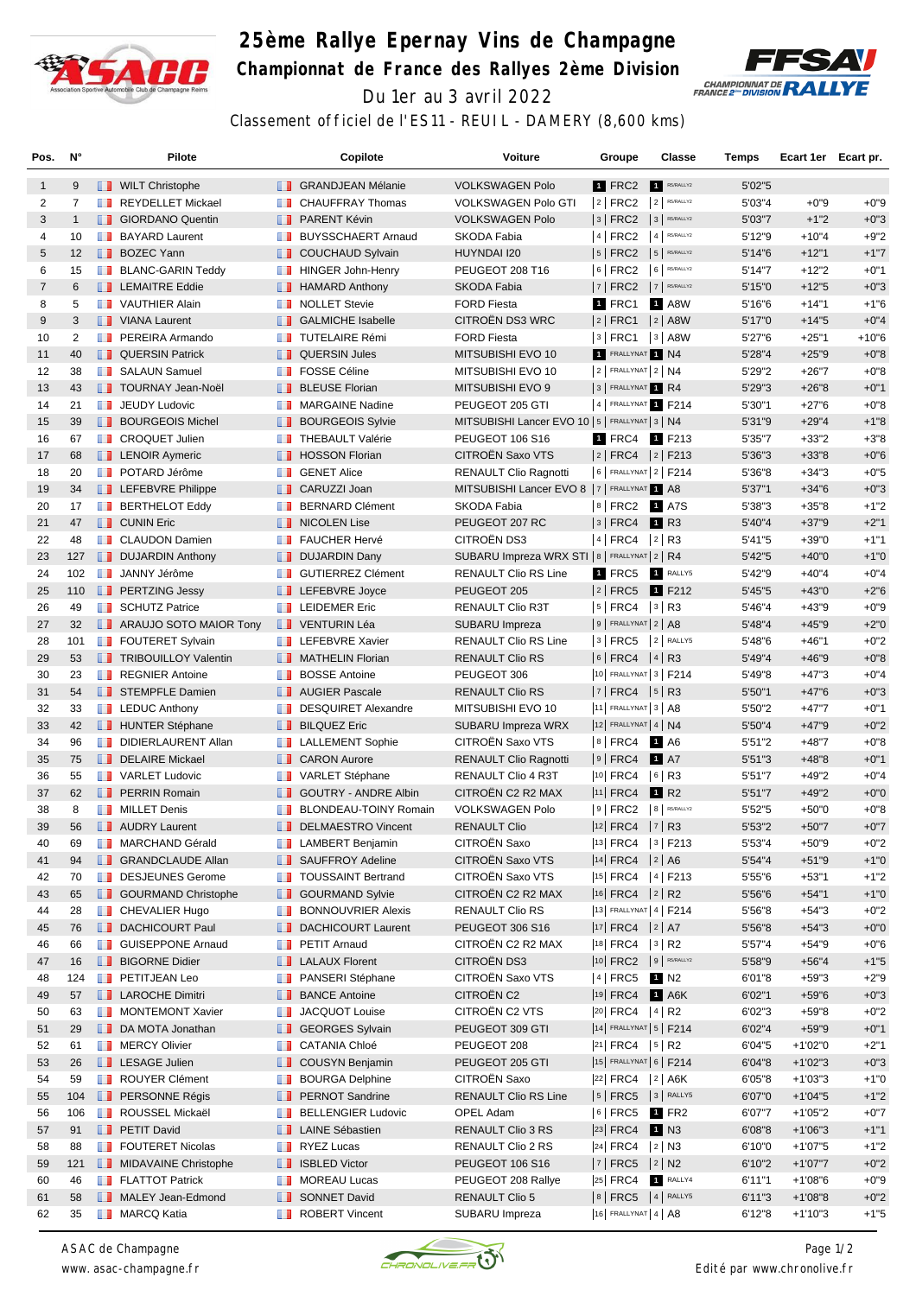

## **25ème Rallye Epernay Vins de Champagne Championnat de France des Rallyes 2ème Division** Du 1er au 3 avril 2022



Classement officiel de l'ES11 - REUIL - DAMERY (8,600 kms)

| Pos.           | N°             |   | Pilote                                                |               | Copilote                         | <b>Voiture</b>                                  | Groupe                              | Classe                                        | Temps   | Ecart 1er Ecart pr. |         |
|----------------|----------------|---|-------------------------------------------------------|---------------|----------------------------------|-------------------------------------------------|-------------------------------------|-----------------------------------------------|---------|---------------------|---------|
| $\mathbf{1}$   | 9              |   | <b>NILT</b> Christophe                                |               | <b>B</b> GRANDJEAN Mélanie       | <b>VOLKSWAGEN Polo</b>                          | 1 FRC2                              | R5/RALLY2<br>$\vert$ 1                        | 5'02"5  |                     |         |
| 2              | $\overline{7}$ | ш | REYDELLET Mickael                                     | w             | <b>CHAUFFRAY Thomas</b>          | <b>VOLKSWAGEN Polo GTI</b>                      | $ 2 $ FRC2                          | $2$ R5/RALLY2                                 | 5'03"4  | $+0"9$              | $+0"9$  |
| 3              | $\mathbf{1}$   |   | <b>B</b> GIORDANO Quentin                             |               | <b>FRARENT Kévin</b>             | <b>VOLKSWAGEN Polo</b>                          | $3$ FRC2                            | $3$ R5/RALLY2                                 | 5'03"7  | $+1"2$              | $+0"3$  |
| 4              | 10             |   | <b>BAYARD Laurent</b>                                 | ш             | <b>BUYSSCHAERT Arnaud</b>        | SKODA Fabia                                     | 4 FRC2                              | $4$ R5/RALLY2                                 | 5'12"9  | $+10"4$             | $+9"2$  |
| 5              | 12             |   | <b>BOZEC Yann</b>                                     | ш             | <b>COUCHAUD Sylvain</b>          | HUYNDAI I20                                     | $ 5 $ FRC2                          | $5$ R5/RALLY2                                 | 5'14"6  | $+12"1$             | $+1"7$  |
| 6              | 15             |   | <b>BLANC-GARIN Teddy</b>                              |               | <b>HINGER John-Henry</b>         | PEUGEOT 208 T16                                 | $ 6 $ FRC2                          | 6 RS/RALLY2                                   | 5'14"7  | $+12"2$             | $+0"1$  |
| $\overline{7}$ | 6              |   | <b>EXEMPLE Eddie</b>                                  | <b>II</b>     | <b>HAMARD Anthony</b>            | SKODA Fabia                                     | 7   FRC2                            | 7 R5/RALLY2                                   | 5'15"0  | $+12"5$             | $+0"3$  |
| 8              | 5              |   | <b>T</b> VAUTHIER Alain                               |               | NOLLET Stevie                    | <b>FORD Fiesta</b>                              | 1 FRC1                              | 1 A8W                                         | 5'16"6  | $+14"1$             | $+1"6$  |
| 9              | 3              |   | VIANA Laurent                                         | . .           | <b>GALMICHE Isabelle</b>         | CITROËN DS3 WRC                                 | $ 2 $ FRC1                          | $ 2 $ A8W                                     | 5'17"0  | $+14"5$             | $+0"4$  |
| 10             | $\overline{2}$ |   | <b>FREIRA</b> Armando                                 | ш             | <b>TUTELAIRE Rémi</b>            | <b>FORD Fiesta</b>                              | 3   FRC1                            | $ 3 $ A8W                                     | 5'27"6  | $+25"1$             | $+10"6$ |
| 11             | 40             |   | <b>QUERSIN Patrick</b>                                |               | <b>QUERSIN Jules</b>             | MITSUBISHI EVO 10                               | 1 FRALLYNAT 1 N4                    |                                               | 5'28"4  | $+25"9$             | $+0"8$  |
| 12             | 38             |   | <b>B</b> SALAUN Samuel                                | ш             | <b>FOSSE Céline</b>              | MITSUBISHI EVO 10                               | $2$ FRALLYNAT $2$ N4                |                                               | 5'29"2  | $+26"7$             | $+0"8$  |
| 13             | 43             |   | <b>TOURNAY Jean-Noël</b>                              | ш             | <b>BLEUSE Florian</b>            | MITSUBISHI EVO 9                                | 3 FRALLYNAT 1 R4                    |                                               | 5'29"3  | $+26"8$             | $+0"1$  |
| 14             | 21             |   | <b>JEUDY Ludovic</b>                                  |               | <b>NARGAINE Nadine</b>           | PEUGEOT 205 GTI                                 |                                     | 4 FRALLYNAT 1 F214                            | 5'30"1  | $+27"6$             | $+0"8$  |
| 15             | 39             |   | <b>BOURGEOIS Michel</b>                               | ш             | <b>BOURGEOIS Sylvie</b>          | MITSUBISHI Lancer EVO 10   5   FRALLYNAT 3   N4 |                                     |                                               | 5'31"9  | $+29"4$             | $+1"8$  |
| 16             | 67             |   | <b>T</b> CROQUET Julien                               | ш             | <b>THEBAULT Valérie</b>          | <b>PEUGEOT 106 S16</b>                          | 1 FRC4                              | 1 F213                                        | 5'35"7  | $+33"2$             | $+3"8$  |
| 17             | 68             |   | <b>EXP</b> LENOIR Aymeric                             |               | <b>F</b> HOSSON Florian          | CITROËN Saxo VTS                                |                                     | $ 2 $ FRC4 $ 2 $ F213                         | 5'36"3  | $+33"8$             | $+0"6$  |
| 18             | 20             |   | <b>DE POTARD Jérôme</b>                               | <b>A 10</b>   | <b>GENET Alice</b>               | <b>RENAULT Clio Ragnotti</b>                    |                                     | 6   FRALLYNAT 2   F214                        | 5'36"8  | $+34"3$             | $+0"5$  |
| 19             | 34             |   | <b>LEFEBVRE Philippe</b>                              | . .           | CARUZZI Joan                     | MITSUBISHI Lancer EVO 8   7   FRALLYNAT 1 A8    |                                     |                                               | 5'37"1  | $+34"6$             | $+0"3$  |
| 20             | 17             |   | <b>BERTHELOT Eddy</b>                                 | <b>BOOK</b>   | <b>BERNARD Clément</b>           | SKODA Fabia                                     |                                     | 8 FRC2 1 A7S                                  | 5'38"3  | $+35"8$             | $+1"2$  |
| 21             | 47             |   | <b>THE CUNIN Eric</b>                                 | ш             | <b>NICOLEN Lise</b>              | PEUGEOT 207 RC                                  | 3   FRC4                            | <b>1</b> R3                                   | 5'40"4  | $+37"9$             | $+2"1$  |
| 22             | 48             |   | <b>T</b> CLAUDON Damien                               | ш             | <b>FAUCHER Hervé</b>             | <b>CITROËN DS3</b>                              | $ 4 $ FRC4                          | $ 2 $ R3                                      | 5'41"5  | $+39"0$             | $+1"1$  |
| 23             | 127            |   | <b>DUJARDIN Anthony</b>                               |               | <b>DUJARDIN Dany</b>             | SUBARU Impreza WRX STI   8   FRALLYNAT   2   R4 |                                     |                                               | 5'42"5  | $+40"0$             | $+1"0$  |
| 24             | 102            |   | <b>JANNY Jérôme</b>                                   | <b>THE R</b>  | <b>GUTIERREZ Clément</b>         | <b>RENAULT Clio RS Line</b>                     | $1$ FRC5                            | 1 RALLY5                                      | 5'42"9  | $+40"4$             | $+0"4$  |
| 25             | 110            |   | <b>PERTZING Jessy</b>                                 |               | <b>LEFEBVRE</b> Joyce            | PEUGEOT 205                                     | $ 2 $ FRC5                          | 1 F212                                        | 5'45"5  | $+43"0$             | $+2"6$  |
| 26             | 49             |   | <b>SCHUTZ Patrice</b>                                 |               | <b>EXECUTED</b> LEIDEMER Eric    | RENAULT Clio R3T                                | $ 5 $ FRC4                          | $ 3 $ R3                                      | 5'46"4  | $+43"9$             | $+0"9$  |
| 27             | 32             |   | <b>ARAUJO SOTO MAIOR Tony</b>                         |               | <b>TEXA VENTURIN Léa</b>         | SUBARU Impreza                                  | $9$ FRALLYNAT $2$ A8                |                                               | 5'48"4  | $+45"9$             | $+2"0$  |
| 28             | 101            |   | <b>FOUTERET Sylvain</b>                               |               | <b>EXECUTE:</b> LEFEBVRE Xavier  | <b>RENAULT Clio RS Line</b>                     | $3$ FRC5                            | 2 RALLY5                                      | 5'48"6  | $+46"1$             | $+0"2$  |
| 29             | 53             |   | <b>TRIBOUILLOY Valentin</b>                           |               | <b>MATHELIN Florian</b>          | <b>RENAULT Clio RS</b>                          | $ 6 $ FRC4                          | $ 4 $ R <sub>3</sub>                          | 5'49"4  | $+46"9$             | $+0"8$  |
| 30             | 23             |   | <b>REGNIER Antoine</b>                                | m             | <b>BOSSE Antoine</b>             | PEUGEOT 306                                     |                                     | 10 FRALLYNAT 3   F214                         | 5'49"8  | $+47"3$             | $+0"4$  |
| 31             | 54             |   | STEMPFLE Damien                                       |               | <b>AUGIER Pascale</b>            | RENAULT Clio RS                                 | $ 7 $ FRC4 $ 5 $ R3                 |                                               | 5'50"1  | $+47"6$             | $+0"3$  |
| 32             | 33             |   | $\blacksquare$ LEDUC Anthony                          | m             | <b>DESQUIRET Alexandre</b>       | MITSUBISHI EVO 10                               | $ 11 $ FRALLYNAT $ 3 AB$            |                                               | 5'50"2  | $+47"7$             | $+0"1$  |
| 33             | 42             |   | <b>HUNTER Stéphane</b>                                | ш             | <b>BILQUEZ Eric</b>              | SUBARU Impreza WRX                              | $12$ FRALLYNAT 4 N4                 |                                               | 5'50"4  | $+47"9$             | $+0"2$  |
| 34             | 96             |   | DIDIERLAURENT Allan                                   |               | <b>LALLEMENT Sophie</b>          | CITROËN Saxo VTS                                | $8$ FRC4                            | 1 A6                                          | 5'51"2  | $+48"7$             | $+0"8$  |
| 35             | 75             |   | DELAIRE Mickael                                       |               | <b>T</b> CARON Aurore            | <b>RENAULT Clio Ragnotti</b>                    | 9   FRC4                            | <b>1</b> A7                                   | 5'51''3 | $+48"8$             | $+0"1$  |
| 36             | 55             |   | <b>T</b> VARLET Ludovic                               | <b>A 10</b>   | VARLET Stéphane                  | RENAULT Clio 4 R3T                              | $ 10 $ FRC4                         | $ 6 $ R3                                      | 5'51"7  | $+49"2$             | $+0"4$  |
| 37             | 62             |   | <b>FRAIN Romain</b>                                   | <b>ILLE</b>   | <b>GOUTRY - ANDRE Albin</b>      | CITROËN C2 R2 MAX                               | <sup>11</sup> FRC4                  | 1 R <sub>2</sub>                              | 5'51"7  | $+49"2$             | $+0"0$  |
| 38             | 8              |   | <b>NILLET</b> Denis                                   | ш             | <b>BLONDEAU-TOINY Romain</b>     | <b>VOLKSWAGEN Polo</b>                          | $ 9 $ FRC2                          | 8 R5/RALLY2                                   | 5'52"5  | $+50"0$             | $+0"8$  |
| 39             | 56             |   | <b>NUDRY Laurent</b>                                  | ш             | <b>DELMAESTRO Vincent</b>        | <b>RENAULT Clio</b>                             | $ 12 $ FRC4                         | 7 R3                                          | 5'53"2  | $+50"7$             | $+0"7$  |
|                |                |   | <b>NARCHAND Gérald</b>                                |               |                                  | <b>CITROEN Saxo</b>                             |                                     |                                               | 5'53"4  | $+50"9$             | $+0"2$  |
| 40             | 69             |   |                                                       |               | <b>EXECUTE:</b> LAMBERT Benjamin | CITROËN Saxo VTS                                |                                     | 13 FRC4   3   F213                            |         |                     |         |
| 41             | 94<br>70       |   | <b>SRANDCLAUDE Allan</b>                              |               | SAUFFROY Adeline                 | CITROËN Saxo VTS                                | $ 14 $ FRC4 $ 2 $ A6<br>$ 15 $ FRC4 | $ 4 $ F213                                    | 5'54"4  | $+51"9$             | $+1"0$  |
| 42             |                |   | DESJEUNES Gerome                                      |               | <b>TOUSSAINT Bertrand</b>        | CITROËN C2 R2 MAX                               | 16 FRC4 2 R2                        |                                               | 5'55"6  | $+53"1$             | $+1"2$  |
| 43             | 65<br>28       |   | <b>B</b> GOURMAND Christophe<br><b>CHEVALIER Hugo</b> |               | <b>SOURMAND Sylvie</b>           |                                                 |                                     | 13 FRALLYNAT 4   F214                         | 5'56"6  | $+54"1$             | $+1"0$  |
| 44             |                |   |                                                       | m             | <b>BONNOUVRIER Alexis</b>        | RENAULT Clio RS                                 | $ 17 $ FRC4 $ 2 $ A7                |                                               | 5'56"8  | $+54"3$             | $+0"2$  |
| 45             | 76             |   | <b>DACHICOURT Paul</b>                                | ш             | <b>DACHICOURT Laurent</b>        | PEUGEOT 306 S16                                 | 18 FRC4                             |                                               | 5'56"8  | $+54"3$             | $+0"0$  |
| 46             | 66             |   | <b>B</b> GUISEPPONE Arnaud                            |               | <b>F</b> PETIT Arnaud            | CITROËN C2 R2 MAX<br>CITROËN DS3                | $ 10 $ FRC2                         | $3$ R <sub>2</sub><br>$9$ R5/RALLY2           | 5'57"4  | $+54"9$             | $+0"6$  |
| 47             | 16             |   | <b>BIGORNE Didier</b><br><b>PETITJEAN Leo</b>         |               | <b>LALAUX Florent</b>            | CITROËN Saxo VTS                                |                                     |                                               | 5'58"9  | $+56"4$             | $+1"5$  |
| 48             | 124            |   |                                                       |               | <b>FRANSERI</b> Stéphane         | CITROËN C2                                      | 4 FRC5                              | 1 N2                                          | 6'01"8  | $+59"3$             | $+2"9$  |
| 49             | 57             |   | <b>LE</b> LAROCHE Dimitri<br>MONTEMONT Xavier         | ш             | <b>BANCE Antoine</b>             |                                                 | 19 FRC4                             | $1$ A6K                                       | 6'02"1  | $+59"6$             | $+0"3$  |
| 50             | 63             |   |                                                       | m             | JACQUOT Louise                   | CITROËN C2 VTS                                  | 20 FRC4                             | $ 4 $ R <sub>2</sub><br>14 FRALLYNAT 5   F214 | 6'02"3  | $+59"8$             | $+0"2$  |
| 51             | 29             |   | DA MOTA Jonathan                                      | ш             | <b>GEORGES Sylvain</b>           | PEUGEOT 309 GTI                                 |                                     |                                               | 6'02"4  | $+59"9$             | $+0"1$  |
| 52             | 61             |   | <b>NERCY Olivier</b>                                  | <b>The Co</b> | <b>CATANIA Chloé</b>             | PEUGEOT 208                                     | 21 FRC4 5 R2                        |                                               | 6'04"5  | $+1'02"0$           | $+2"1$  |
| 53             | 26             |   | <b>LESAGE Julien</b>                                  | ш             | <b>COUSYN Benjamin</b>           | PEUGEOT 205 GTI                                 |                                     | 15 FRALLYNAT 6   F214                         | 6'04"8  | $+1'02"3$           | $+0"3$  |
| 54             | 59             |   | <b>ROUYER Clément</b>                                 |               | <b>BOURGA Delphine</b>           | CITROËN Saxo                                    |                                     | $ 22 $ FRC4 $ 2 $ A6K                         | 6'05"8  | $+1'03''3$          | $+1"0$  |
| 55             | 104            |   | <b>FERSONNE Régis</b>                                 | u             | <b>PERNOT Sandrine</b>           | <b>RENAULT Clio RS Line</b>                     | $5$ FRC5                            | 3 RALLY5                                      | 6'07"0  | $+1'04"5$           | $+1"2$  |
| 56             | 106            |   | ROUSSEL Mickaël                                       | ш             | <b>BELLENGIER Ludovic</b>        | OPEL Adam                                       | $ 6 $ FRC5                          | $1$ FR2                                       | 6'07"7  | $+1'05"2$           | $+0"7$  |
| 57             | 91             |   | <b>PETIT David</b>                                    |               | <b>LE</b> LAINE Sébastien        | RENAULT Clio 3 RS                               | $ 23 $ FRC4                         | 1 N3                                          | 6'08"8  | $+1'06''3$          | $+1"1$  |
| 58             | 88             |   | <b>FOUTERET Nicolas</b>                               |               | <b>RYEZ Lucas</b>                | RENAULT Clio 2 RS                               | 24 FRC4 2 N3                        |                                               | 6'10"0  | $+1'07"5$           | $+1"2$  |
| 59             | 121            |   | MIDAVAINE Christophe                                  |               | <b>B</b> ISBLED Victor           | PEUGEOT 106 S16                                 | $ 7 $ FRC5 $ 2 $ N2                 |                                               | 6'10"2  | $+1'07"7$           | $+0"2$  |
| 60             | 46             |   | <b>FLATTOT Patrick</b>                                |               | <b>NOREAU Lucas</b>              | PEUGEOT 208 Rallye                              | $ 25 $ FRC4                         | RALLY4                                        | 6'11''1 | $+1'08"6$           | $+0"9$  |
| 61             | 58             |   | MALEY Jean-Edmond                                     |               | SONNET David                     | <b>RENAULT Clio 5</b>                           |                                     | $ 8 $ FRC5 $ 4 $ RALLY5                       | 6'11''3 | $+1'08"8$           | $+0"2$  |
| 62             | 35             |   | <b>NARCQ Katia</b>                                    | <b>11 B</b>   | <b>ROBERT Vincent</b>            | SUBARU Impreza                                  | $ 16 $ FRALLYNAT 4   A8             |                                               | 6'12"8  | $+1'10"3$           | $+1"5$  |